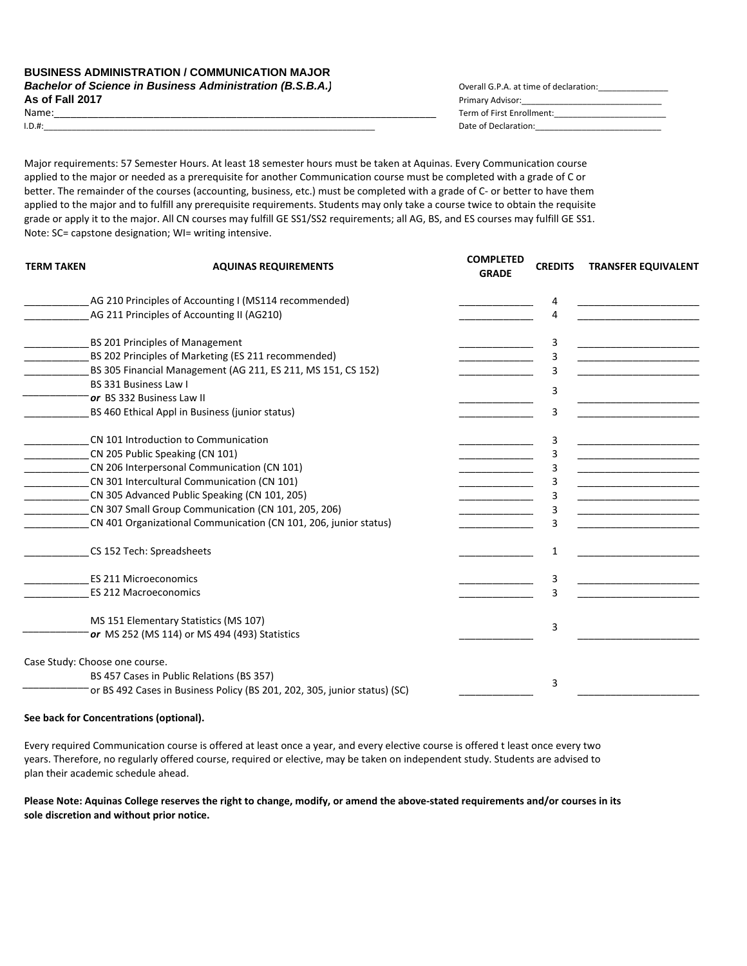| <b>Bachelor of Science in Business Administration (B.S.B.A.)</b> | Overall G.P.A. at time of declaration: |
|------------------------------------------------------------------|----------------------------------------|
| As of Fall 2017                                                  | Primary Advisor:                       |
| Name:                                                            | Term of First Enrollment:              |
| $I.D.$ #:                                                        | Date of Declaration:                   |

Major requirements: 57 Semester Hours. At least 18 semester hours must be taken at Aquinas. Every Communication course applied to the major or needed as a prerequisite for another Communication course must be completed with a grade of C or better. The remainder of the courses (accounting, business, etc.) must be completed with a grade of C‐ or better to have them applied to the major and to fulfill any prerequisite requirements. Students may only take a course twice to obtain the requisite grade or apply it to the major. All CN courses may fulfill GE SS1/SS2 requirements; all AG, BS, and ES courses may fulfill GE SS1. Note: SC= capstone designation; WI= writing intensive.

| <b>TERM TAKEN</b> | <b>AQUINAS REQUIREMENTS</b>                                               | <b>COMPLETED</b><br><b>GRADE</b> | <b>CREDITS</b> | <b>TRANSFER EQUIVALENT</b> |
|-------------------|---------------------------------------------------------------------------|----------------------------------|----------------|----------------------------|
|                   | AG 210 Principles of Accounting I (MS114 recommended)                     |                                  | 4              |                            |
|                   | AG 211 Principles of Accounting II (AG210)                                |                                  | 4              |                            |
|                   | BS 201 Principles of Management                                           |                                  | 3              |                            |
|                   | BS 202 Principles of Marketing (ES 211 recommended)                       |                                  | 3              |                            |
|                   | BS 305 Financial Management (AG 211, ES 211, MS 151, CS 152)              |                                  | $\overline{3}$ |                            |
|                   | BS 331 Business Law I                                                     |                                  | 3              |                            |
|                   | or BS 332 Business Law II                                                 |                                  |                |                            |
|                   | BS 460 Ethical Appl in Business (junior status)                           |                                  | 3              |                            |
|                   | CN 101 Introduction to Communication                                      |                                  | 3              |                            |
|                   | CN 205 Public Speaking (CN 101)                                           |                                  | 3              |                            |
|                   | CN 206 Interpersonal Communication (CN 101)                               |                                  | 3              |                            |
|                   | CN 301 Intercultural Communication (CN 101)                               |                                  |                |                            |
|                   | CN 305 Advanced Public Speaking (CN 101, 205)                             |                                  | 3              |                            |
|                   | CN 307 Small Group Communication (CN 101, 205, 206)                       |                                  | 3              |                            |
|                   | CN 401 Organizational Communication (CN 101, 206, junior status)          |                                  |                |                            |
|                   | CS 152 Tech: Spreadsheets                                                 |                                  | 1              |                            |
|                   | <b>ES 211 Microeconomics</b>                                              |                                  | 3              |                            |
|                   | <b>ES 212 Macroeconomics</b>                                              |                                  | 3              |                            |
|                   | MS 151 Elementary Statistics (MS 107)                                     |                                  |                |                            |
|                   | or MS 252 (MS 114) or MS 494 (493) Statistics                             |                                  | 3              |                            |
|                   | Case Study: Choose one course.                                            |                                  |                |                            |
|                   | BS 457 Cases in Public Relations (BS 357)                                 |                                  |                |                            |
|                   | or BS 492 Cases in Business Policy (BS 201, 202, 305, junior status) (SC) |                                  | 3              |                            |
|                   |                                                                           |                                  |                |                            |

## **See back for Concentrations (optional).**

Every required Communication course is offered at least once a year, and every elective course is offered t least once every two years. Therefore, no regularly offered course, required or elective, may be taken on independent study. Students are advised to plan their academic schedule ahead.

Please Note: Aquinas College reserves the right to change, modify, or amend the above-stated requirements and/or courses in its **sole discretion and without prior notice.**